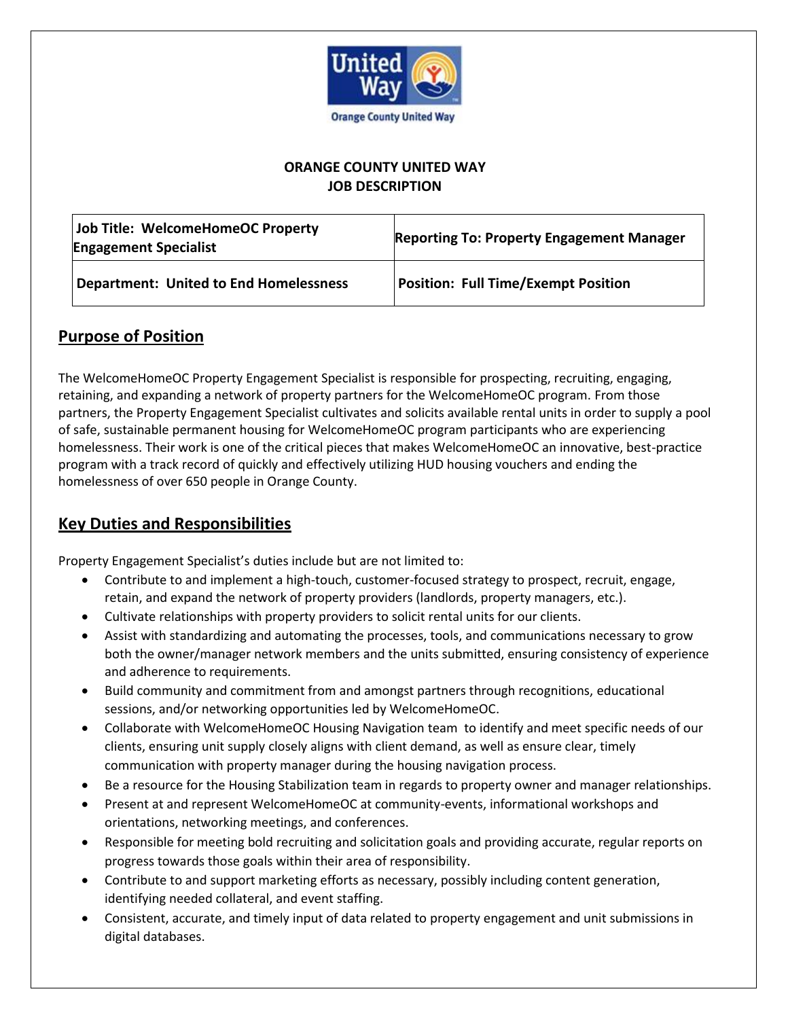

#### **ORANGE COUNTY UNITED WAY JOB DESCRIPTION**

| Job Title: WelcomeHomeOC Property<br><b>Engagement Specialist</b> | <b>Reporting To: Property Engagement Manager</b> |
|-------------------------------------------------------------------|--------------------------------------------------|
| <b>Department: United to End Homelessness</b>                     | <b>Position: Full Time/Exempt Position</b>       |

### **Purpose of Position**

The WelcomeHomeOC Property Engagement Specialist is responsible for prospecting, recruiting, engaging, retaining, and expanding a network of property partners for the WelcomeHomeOC program. From those partners, the Property Engagement Specialist cultivates and solicits available rental units in order to supply a pool of safe, sustainable permanent housing for WelcomeHomeOC program participants who are experiencing homelessness. Their work is one of the critical pieces that makes WelcomeHomeOC an innovative, best-practice program with a track record of quickly and effectively utilizing HUD housing vouchers and ending the homelessness of over 650 people in Orange County.

## **Key Duties and Responsibilities**

Property Engagement Specialist's duties include but are not limited to:

- Contribute to and implement a high-touch, customer-focused strategy to prospect, recruit, engage, retain, and expand the network of property providers (landlords, property managers, etc.).
- Cultivate relationships with property providers to solicit rental units for our clients.
- Assist with standardizing and automating the processes, tools, and communications necessary to grow both the owner/manager network members and the units submitted, ensuring consistency of experience and adherence to requirements.
- Build community and commitment from and amongst partners through recognitions, educational sessions, and/or networking opportunities led by WelcomeHomeOC.
- Collaborate with WelcomeHomeOC Housing Navigation team to identify and meet specific needs of our clients, ensuring unit supply closely aligns with client demand, as well as ensure clear, timely communication with property manager during the housing navigation process.
- Be a resource for the Housing Stabilization team in regards to property owner and manager relationships.
- Present at and represent WelcomeHomeOC at community-events, informational workshops and orientations, networking meetings, and conferences.
- Responsible for meeting bold recruiting and solicitation goals and providing accurate, regular reports on progress towards those goals within their area of responsibility.
- Contribute to and support marketing efforts as necessary, possibly including content generation, identifying needed collateral, and event staffing.
- Consistent, accurate, and timely input of data related to property engagement and unit submissions in digital databases.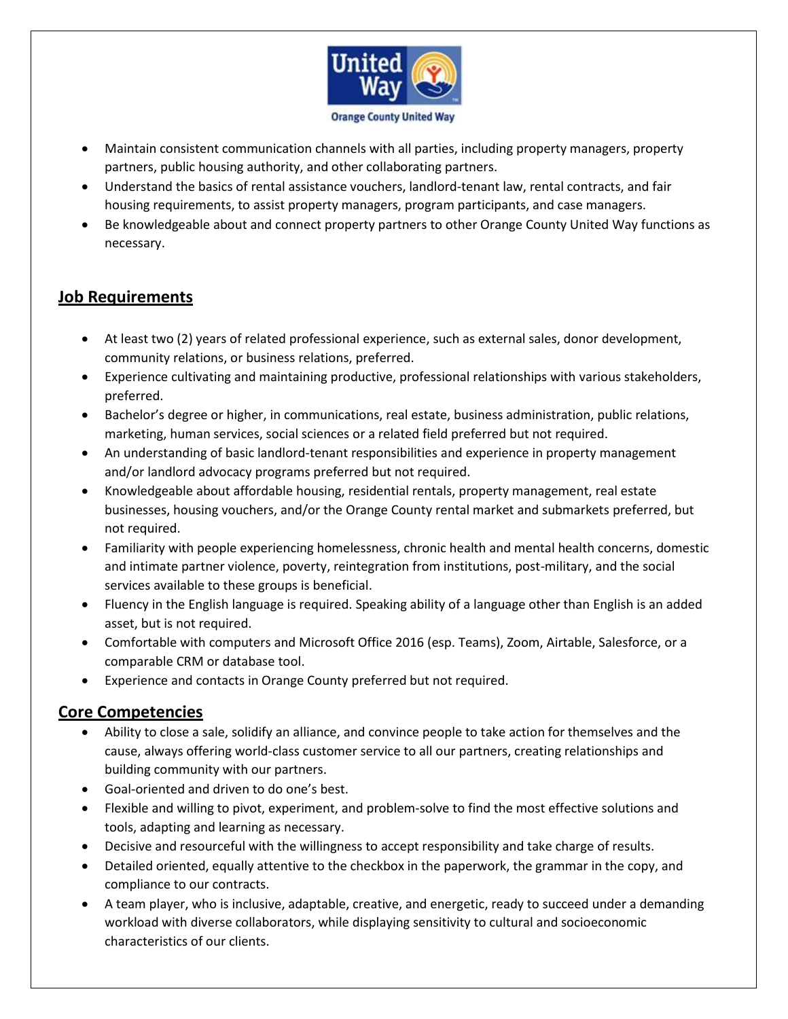

- Maintain consistent communication channels with all parties, including property managers, property partners, public housing authority, and other collaborating partners.
- Understand the basics of rental assistance vouchers, landlord-tenant law, rental contracts, and fair housing requirements, to assist property managers, program participants, and case managers.
- Be knowledgeable about and connect property partners to other Orange County United Way functions as necessary.

# **Job Requirements**

- At least two (2) years of related professional experience, such as external sales, donor development, community relations, or business relations, preferred.
- Experience cultivating and maintaining productive, professional relationships with various stakeholders, preferred.
- Bachelor's degree or higher, in communications, real estate, business administration, public relations, marketing, human services, social sciences or a related field preferred but not required.
- An understanding of basic landlord-tenant responsibilities and experience in property management and/or landlord advocacy programs preferred but not required.
- Knowledgeable about affordable housing, residential rentals, property management, real estate businesses, housing vouchers, and/or the Orange County rental market and submarkets preferred, but not required.
- Familiarity with people experiencing homelessness, chronic health and mental health concerns, domestic and intimate partner violence, poverty, reintegration from institutions, post-military, and the social services available to these groups is beneficial.
- Fluency in the English language is required. Speaking ability of a language other than English is an added asset, but is not required.
- Comfortable with computers and Microsoft Office 2016 (esp. Teams), Zoom, Airtable, Salesforce, or a comparable CRM or database tool.
- Experience and contacts in Orange County preferred but not required.

# **Core Competencies**

- Ability to close a sale, solidify an alliance, and convince people to take action for themselves and the cause, always offering world-class customer service to all our partners, creating relationships and building community with our partners.
- Goal-oriented and driven to do one's best.
- Flexible and willing to pivot, experiment, and problem-solve to find the most effective solutions and tools, adapting and learning as necessary.
- Decisive and resourceful with the willingness to accept responsibility and take charge of results.
- Detailed oriented, equally attentive to the checkbox in the paperwork, the grammar in the copy, and compliance to our contracts.
- A team player, who is inclusive, adaptable, creative, and energetic, ready to succeed under a demanding workload with diverse collaborators, while displaying sensitivity to cultural and socioeconomic characteristics of our clients.